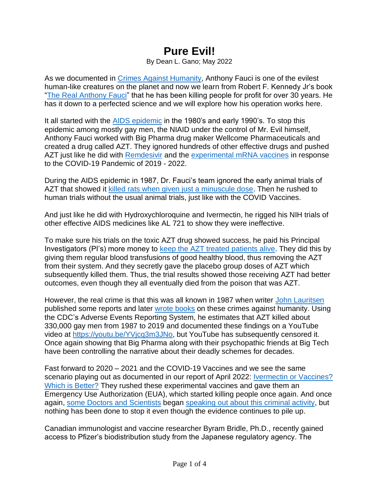## **Pure Evil!**

By Dean L. Gano; May 2022

As we documented in [Crimes Against Humanity,](https://factcheckedorg.files.wordpress.com/2022/05/crimes-against-humanity.4.pdf) Anthony Fauci is one of the evilest human-like creatures on the planet and now we learn from Robert F. Kennedy Jr's book ["The Real Anthony Fauci"](https://www.amazon.com/Real-Anthony-Fauci-Democracy-Childrens-ebook/dp/B08XQYGC68) that he has been killing people for profit for over 30 years. He has it down to a perfected science and we will explore how his operation works here.

It all started with the [AIDS epidemic](https://www.cdc.gov/museum/online/story-of-cdc/aids/index.html) in the 1980's and early 1990's. To stop this epidemic among mostly gay men, the NIAID under the control of Mr. Evil himself, Anthony Fauci worked with Big Pharma drug maker Wellcome Pharmaceuticals and created a drug called AZT. They ignored hundreds of other effective drugs and pushed AZT just like he did with [Remdesivir](https://www.nbcnews.com/health/health-news/remdesivir-shouldn-t-be-used-hospitalized-covid-19-patients-who-n1248320) and the [experimental mRNA vaccines](https://factcheckedorg.files.wordpress.com/2022/04/is-ivermectin-the-cure-for-covid.final_.5.2.pdf) in response to the COVID-19 Pandemic of 2019 - 2022.

During the AIDS epidemic in 1987, Dr. Fauci's team ignored the early animal trials of AZT that showed it [killed rats when given just a minuscule dose.](https://www.theepochtimes.com/researcher-we-made-a-big-mistake-on-covid-19-vaccine_4469331.html?utm_source=ref_share&utm_campaign=copy&rs=SHRFNTG&&slsuccess=1) Then he rushed to human trials without the usual animal trials, just like with the COVID Vaccines.

And just like he did with Hydroxychloroquine and Ivermectin, he rigged his NIH trials of other effective AIDS medicines like AL 721 to show they were ineffective.

To make sure his trials on the toxic AZT drug showed success, he paid his Principal Investigators (PI's) more money to [keep the AZT treated patients alive.](https://www.theepochtimes.com/researcher-we-made-a-big-mistake-on-covid-19-vaccine_4469331.html?utm_source=ref_share&utm_campaign=copy&rs=SHRFNTG&&slsuccess=1) They did this by giving them regular blood transfusions of good healthy blood, thus removing the AZT from their system. And they secretly gave the placebo group doses of AZT which subsequently killed them. Thus, the trial results showed those receiving AZT had better outcomes, even though they all eventually died from the poison that was AZT.

However, the real crime is that this was all known in 1987 when writer [John Lauritsen](https://www.amazon.com/John-Lauritsen/e/B001JS035E/ref=dp_byline_cont_pop_ebooks_1) published some reports and later [wrote books](https://www.amazon.com/AIDS-War-Propaganda-Profiteering-Medical-Industrial-ebook/dp/B09PMHP7BN/ref=sr_1_1?crid=2QSLSMVLKTWPO&keywords=the+aids+war+propaganda&qid=1652722332&sprefix=The+Aids+War%2Caps%2C357&sr=8-1) on these crimes against humanity. Using the CDC's Adverse Events Reporting System, he estimates that AZT killed about 330,000 gay men from 1987 to 2019 and documented these findings on a YouTube video at [https://youtu.be/YVjcq3m3JNo,](https://youtu.be/YVjcq3m3JNo) but YouTube has subsequently censored it. Once again showing that Big Pharma along with their psychopathic friends at Big Tech have been controlling the narrative about their deadly schemes for decades.

Fast forward to 2020 – 2021 and the COVID-19 Vaccines and we see the same scenario playing out as documented in our report of April 2022: Ivermectin or Vaccines? [Which is Better?](https://factcheckedorg.files.wordpress.com/2022/04/is-ivermectin-the-cure-for-covid.final_.5.2.pdf) They rushed these experimental vaccines and gave them an Emergency Use Authorization (EUA), which started killing people once again. And once again, [some Doctors and Scientists](https://americasfrontlinedoctors.org/) began [speaking out about this criminal activity,](https://www.theepochtimes.com/researcher-we-made-a-big-mistake-on-covid-19-vaccine_4469331.html?utm_source=ref_share&utm_campaign=copy&rs=SHRFNTG&&slsuccess=1) but nothing has been done to stop it even though the evidence continues to pile up.

Canadian immunologist and vaccine researcher Byram Bridle, Ph.D., recently gained access to Pfizer's biodistribution study from the Japanese regulatory agency. The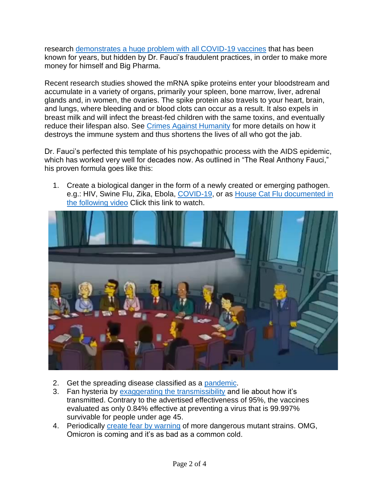research [demonstrates a huge problem with all COVID-19 vaccines](https://www.theepochtimes.com/researcher-we-made-a-big-mistake-on-covid-19-vaccine_4469331.html?utm_source=ref_share&utm_campaign=copy&rs=SHRFNTG&&slsuccess=1) that has been known for years, but hidden by Dr. Fauci's fraudulent practices, in order to make more money for himself and Big Pharma.

Recent research studies showed the mRNA spike proteins enter your bloodstream and accumulate in a variety of organs, primarily your spleen, bone marrow, liver, adrenal glands and, in women, the ovaries. The spike protein also travels to your heart, brain, and lungs, where bleeding and or blood clots can occur as a result. It also expels in breast milk and will infect the breast-fed children with the same toxins, and eventually reduce their lifespan also. See [Crimes Against Humanity](https://factcheckedorg.files.wordpress.com/2022/05/crimes-against-humanity.4.pdf) for more details on how it destroys the immune system and thus shortens the lives of all who got the jab.

Dr. Fauci's perfected this template of his psychopathic process with the AIDS epidemic, which has worked very well for decades now. As outlined in "The Real Anthony Fauci," his proven formula goes like this:

1. Create a biological danger in the form of a newly created or emerging pathogen. e.g.: HIV, Swine Flu, Zika, Ebola, [COVID-19,](https://factcheckedorg.files.wordpress.com/2021/08/covid19-and-real-science.rn3_.4-1.pdf) or as House Cat Flu documented in [the following video](https://factcheckedorg.files.wordpress.com/2022/05/img_4841.mp4) Click this link to watch.



- 2. Get the spreading disease classified as a [pandemic.](https://www.publichealth.com.ng/world-health-organization-who-pandemic-definition/)
- 3. Fan hysteria by [exaggerating the transmissibility](https://factcheckedorg.files.wordpress.com/2022/05/crimes-against-humanity.4.pdf) and lie about how it's transmitted. Contrary to the advertised effectiveness of 95%, the vaccines evaluated as only 0.84% effective at preventing a virus that is 99.997% survivable for people under age 45.
- 4. Periodically [create fear by warning](https://www.science.org/content/article/new-versions-omicron-are-masters-immune-evasion#.YnwtSGl5lIc.mailto) of more dangerous mutant strains. OMG, Omicron is coming and it's as bad as a common cold.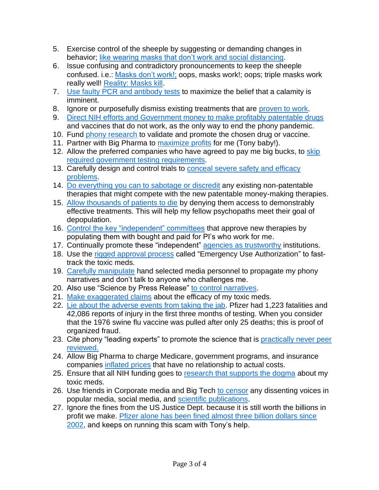- 5. Exercise control of the sheeple by suggesting or demanding changes in behavior; [like wearing masks that don't work and](https://factcheckedorg.files.wordpress.com/2022/05/crimes-against-humanity.4.pdf) social distancing.
- 6. Issue confusing and contradictory pronouncements to keep the sheeple confused. i.e.: [Masks don't work!;](https://www.msn.com/en-us/news/us/fauci-said-masks-not-really-effective-in-keeping-out-virus-email-reveals/ar-AAKCZ0c) oops, masks work!; oops; triple masks work really well! [Reality: Masks kill.](https://factcheckedorg.files.wordpress.com/2022/05/crimes-against-humanity.4.pdf)
- 7. [Use faulty PCR and antibody tests](https://fact-checked.org/?s=PCR+Tests) to maximize the belief that a calamity is imminent.
- 8. Ignore or purposefully dismiss existing treatments that are [proven to work.](https://factcheckedorg.files.wordpress.com/2022/04/is-ivermectin-the-cure-for-covid.final_.5.2.pdf)
- 9. [Direct NIH efforts and Government money to make profitably patentable drugs](https://www.amazon.com/exec/obidos/ASIN/1510766804?tag=simonsayscom) and vaccines that do not work, as the only way to end the phony pandemic.
- 10. Fund [phony research](https://factcheckedorg.files.wordpress.com/2021/08/covid19-and-real-science.rn3_.4-1.pdf) to validate and promote the chosen drug or vaccine.
- 11. Partner with Big Pharma to [maximize profits](https://factcheckedorg.files.wordpress.com/2021/08/covid19-and-real-science.rn3_.4-1.pdf) for me (Tony baby!).
- 12. Allow the preferred companies who have agreed to pay me big bucks, to [skip](https://factcheckedorg.files.wordpress.com/2022/04/is-ivermectin-the-cure-for-covid.final_.5.2.pdf)  [required government testing requirements.](https://factcheckedorg.files.wordpress.com/2022/04/is-ivermectin-the-cure-for-covid.final_.5.2.pdf)
- 13. Carefully design and control trials to conceal severe safety and efficacy [problems.](https://factcheckedorg.files.wordpress.com/2022/05/crimes-against-humanity.4.pdf)
- 14. [Do everything you can to sabotage or discredit](https://pierrekory.substack.com/p/fraudulent-trial-on-ivermectin-published-859?utm_source=email&s=r) any existing non-patentable therapies that might compete with the new patentable money-making therapies.
- 15. [Allow thousands of patients to die](https://factcheckedorg.files.wordpress.com/2022/05/crimes-against-humanity.4.pdf) by denying them access to demonstrably effective treatments. This will help my fellow psychopaths meet their goal of depopulation.
- 16. [Control the key "independent" committees](https://www.simonandschuster.com/books/The-Real-Anthony-Fauci/Robert-F-Kennedy/Children-s-Health-Defense/9781510766808) that approve new therapies by populating them with bought and paid for PI's who work for me.
- 17. Continually promote these "independent" [agencies as trustworthy](https://www.simonandschuster.com/books/The-Real-Anthony-Fauci/Robert-F-Kennedy/Children-s-Health-Defense/9781510766808) institutions.
- 18. Use the [rigged approval process](https://www.simonandschuster.com/books/The-Real-Anthony-Fauci/Robert-F-Kennedy/Children-s-Health-Defense/9781510766808) called "Emergency Use Authorization" to fasttrack the toxic meds.
- 19. [Carefully manipulate](https://www.simonandschuster.com/books/The-Real-Anthony-Fauci/Robert-F-Kennedy/Children-s-Health-Defense/9781510766808) hand selected media personnel to propagate my phony narratives and don't talk to anyone who challenges me.
- 20. Also use "Science by Press Release" [to control narratives.](https://www.simonandschuster.com/books/The-Real-Anthony-Fauci/Robert-F-Kennedy/Children-s-Health-Defense/9781510766808)
- 21. [Make exaggerated claims](https://www.theepochtimes.com/did-pfizer-commit-huge-fraud-in-its-covid-vaccine-research_4472140.html) about the efficacy of my toxic meds.
- 22. [Lie about the adverse events from taking the jab.](https://www.theepochtimes.com/did-pfizer-commit-huge-fraud-in-its-covid-vaccine-research_4472140.html) Pfizer had 1,223 fatalities and 42,086 reports of injury in the first three months of testing. When you consider that the 1976 swine flu vaccine was pulled after only 25 deaths; this is proof of organized fraud.
- 23. Cite phony "leading experts" to promote the science that is practically never peer [reviewed.](https://www.amazon.com/Bad-Pharma-Companies-Patients-Goldacre/dp/0007350740)
- 24. Allow Big Pharma to charge Medicare, government programs, and insurance companies [inflated prices](https://www.amazon.com/exec/obidos/ASIN/1510766804?tag=simonsayscom) that have no relationship to actual costs.
- 25. Ensure that all NIH funding goes to [research that supports the dogma](https://www.amazon.com/exec/obidos/ASIN/1510766804?tag=simonsayscom) about my toxic meds.
- 26. Use friends in Corporate media and Big Tech [to censor](https://factcheckedorg.files.wordpress.com/2021/08/lies.finalr1.pdf) any dissenting voices in popular media, social media, and [scientific publications.](https://factcheckedorg.files.wordpress.com/2021/06/cancel-culture-revealed.r2.pdf)
- 27. Ignore the fines from the US Justice Dept. because it is still worth the billions in profit we make. [Pfizer alone has been fined almost three billion dollars since](https://www.theepochtimes.com/did-pfizer-commit-huge-fraud-in-its-covid-vaccine-research_4472140.html)  [2002,](https://www.theepochtimes.com/did-pfizer-commit-huge-fraud-in-its-covid-vaccine-research_4472140.html) and keeps on running this scam with Tony's help.